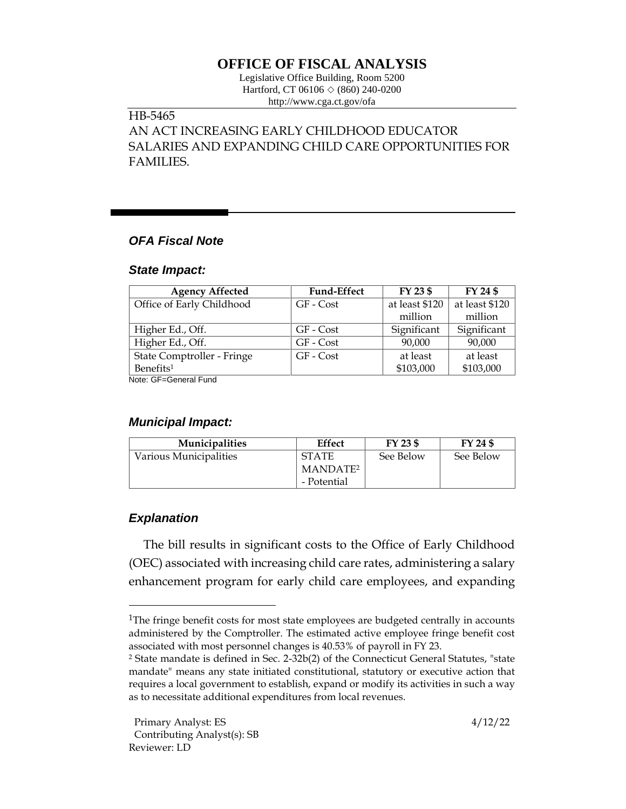# **OFFICE OF FISCAL ANALYSIS**

Legislative Office Building, Room 5200 Hartford, CT 06106  $\Diamond$  (860) 240-0200 http://www.cga.ct.gov/ofa

# HB-5465

# AN ACT INCREASING EARLY CHILDHOOD EDUCATOR SALARIES AND EXPANDING CHILD CARE OPPORTUNITIES FOR FAMILIES.

## *OFA Fiscal Note*

#### *State Impact:*

| <b>Agency Affected</b>     | <b>Fund-Effect</b> | FY 23 \$       | FY 24 \$       |
|----------------------------|--------------------|----------------|----------------|
| Office of Early Childhood  | GF - Cost          | at least \$120 | at least \$120 |
|                            |                    | million        | million        |
| Higher Ed., Off.           | GF - Cost          | Significant    | Significant    |
| Higher Ed., Off.           | GF - Cost          | 90,000         | 90,000         |
| State Comptroller - Fringe | GF - Cost          | at least       | at least       |
| Benefits <sup>1</sup>      |                    | \$103,000      | \$103,000      |
| Note: CE-Conoral Fund      |                    |                |                |

Note: GF=General Fund

#### *Municipal Impact:*

| <b>Municipalities</b>  | Effect               | FY 23 \$  | FY 24 \$  |
|------------------------|----------------------|-----------|-----------|
| Various Municipalities | <b>STATE</b>         | See Below | See Below |
|                        | MANDATE <sup>2</sup> |           |           |
|                        | - Potential          |           |           |

## *Explanation*

The bill results in significant costs to the Office of Early Childhood (OEC) associated with increasing child care rates, administering a salary enhancement program for early child care employees, and expanding

<sup>&</sup>lt;sup>1</sup>The fringe benefit costs for most state employees are budgeted centrally in accounts administered by the Comptroller. The estimated active employee fringe benefit cost associated with most personnel changes is 40.53% of payroll in FY 23.

<sup>2</sup> State mandate is defined in Sec. 2-32b(2) of the Connecticut General Statutes, "state mandate" means any state initiated constitutional, statutory or executive action that requires a local government to establish, expand or modify its activities in such a way as to necessitate additional expenditures from local revenues.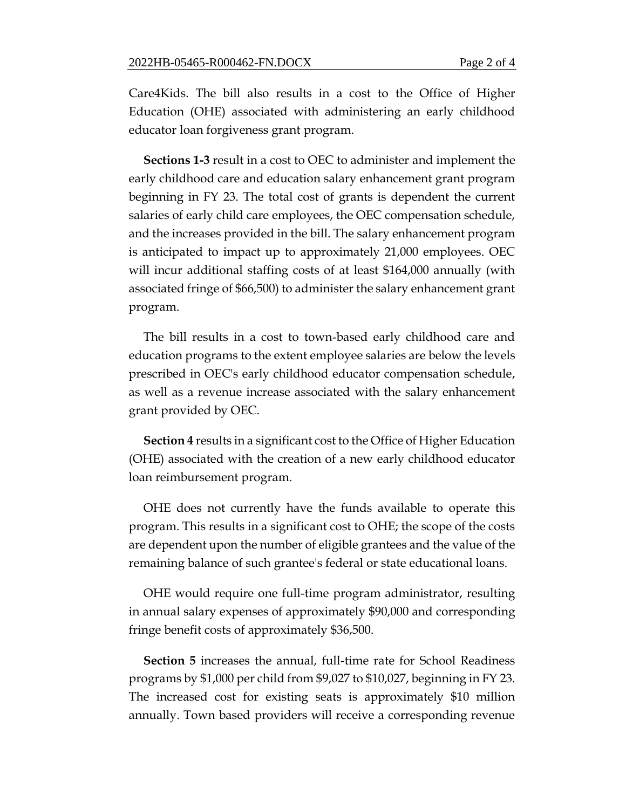Care4Kids. The bill also results in a cost to the Office of Higher Education (OHE) associated with administering an early childhood educator loan forgiveness grant program.

**Sections 1-3** result in a cost to OEC to administer and implement the early childhood care and education salary enhancement grant program beginning in FY 23. The total cost of grants is dependent the current salaries of early child care employees, the OEC compensation schedule, and the increases provided in the bill. The salary enhancement program is anticipated to impact up to approximately 21,000 employees. OEC will incur additional staffing costs of at least \$164,000 annually (with associated fringe of \$66,500) to administer the salary enhancement grant program.

The bill results in a cost to town-based early childhood care and education programs to the extent employee salaries are below the levels prescribed in OEC's early childhood educator compensation schedule, as well as a revenue increase associated with the salary enhancement grant provided by OEC.

**Section 4** results in a significant cost to the Office of Higher Education (OHE) associated with the creation of a new early childhood educator loan reimbursement program.

OHE does not currently have the funds available to operate this program. This results in a significant cost to OHE; the scope of the costs are dependent upon the number of eligible grantees and the value of the remaining balance of such grantee's federal or state educational loans.

OHE would require one full-time program administrator, resulting in annual salary expenses of approximately \$90,000 and corresponding fringe benefit costs of approximately \$36,500.

**Section 5** increases the annual, full-time rate for School Readiness programs by \$1,000 per child from \$9,027 to \$10,027, beginning in FY 23. The increased cost for existing seats is approximately \$10 million annually. Town based providers will receive a corresponding revenue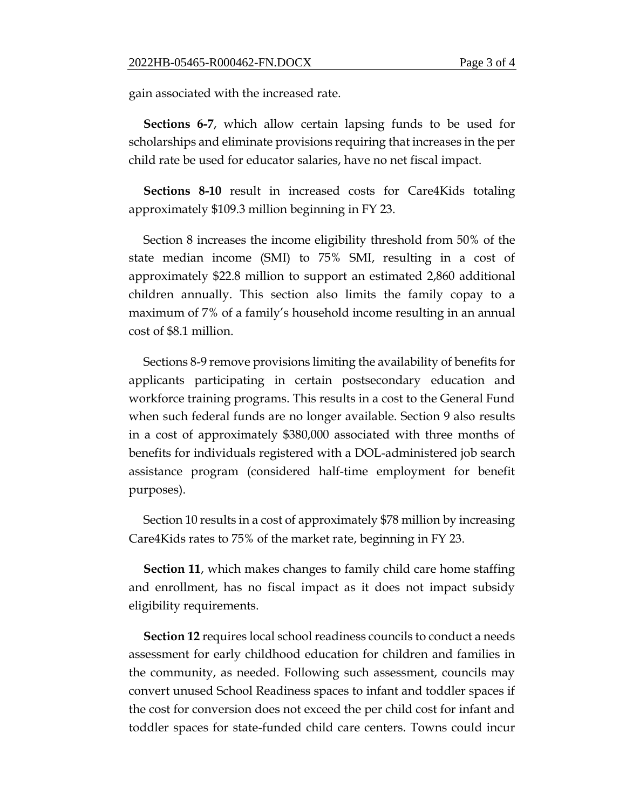gain associated with the increased rate.

**Sections 6-7**, which allow certain lapsing funds to be used for scholarships and eliminate provisions requiring that increases in the per child rate be used for educator salaries, have no net fiscal impact.

**Sections 8-10** result in increased costs for Care4Kids totaling approximately \$109.3 million beginning in FY 23.

Section 8 increases the income eligibility threshold from 50% of the state median income (SMI) to 75% SMI, resulting in a cost of approximately \$22.8 million to support an estimated 2,860 additional children annually. This section also limits the family copay to a maximum of 7% of a family's household income resulting in an annual cost of \$8.1 million.

Sections 8-9 remove provisions limiting the availability of benefits for applicants participating in certain postsecondary education and workforce training programs. This results in a cost to the General Fund when such federal funds are no longer available. Section 9 also results in a cost of approximately \$380,000 associated with three months of benefits for individuals registered with a DOL-administered job search assistance program (considered half-time employment for benefit purposes).

Section 10 results in a cost of approximately \$78 million by increasing Care4Kids rates to 75% of the market rate, beginning in FY 23.

**Section 11**, which makes changes to family child care home staffing and enrollment, has no fiscal impact as it does not impact subsidy eligibility requirements.

**Section 12** requires local school readiness councils to conduct a needs assessment for early childhood education for children and families in the community, as needed. Following such assessment, councils may convert unused School Readiness spaces to infant and toddler spaces if the cost for conversion does not exceed the per child cost for infant and toddler spaces for state-funded child care centers. Towns could incur